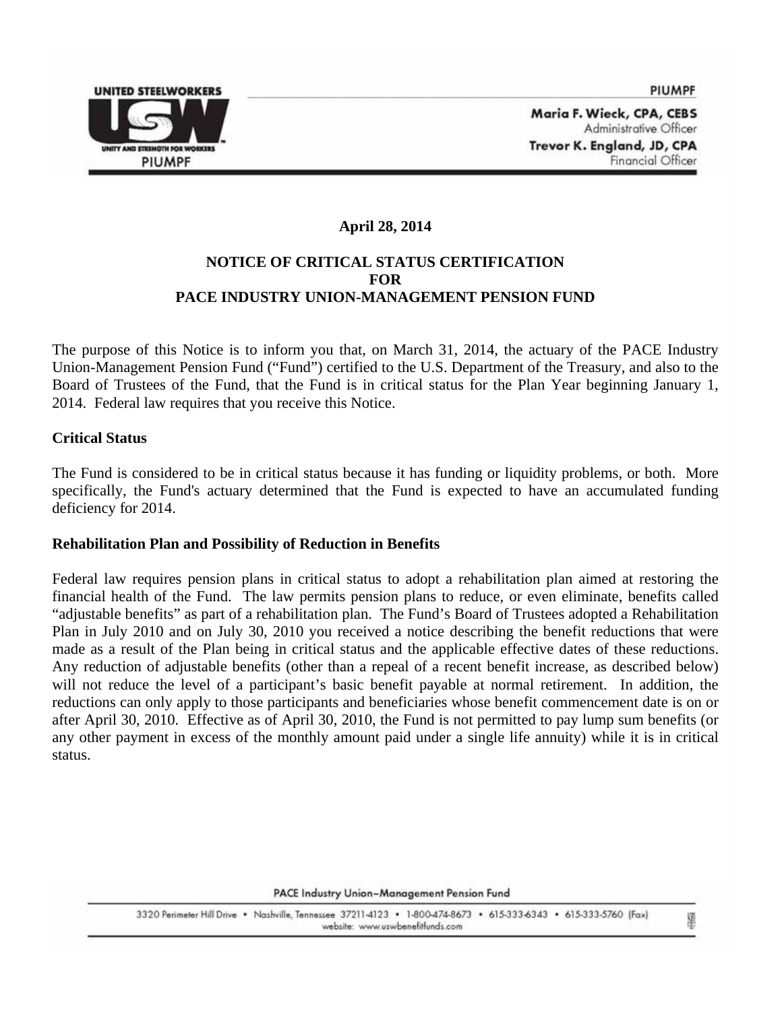

Maria F. Wieck, CPA, CEBS Administrative Officer Trevor K. England, JD, CPA Financial Officer

# **April 28, 2014**

## **NOTICE OF CRITICAL STATUS CERTIFICATION FOR PACE INDUSTRY UNION-MANAGEMENT PENSION FUND**

The purpose of this Notice is to inform you that, on March 31, 2014, the actuary of the PACE Industry Union-Management Pension Fund ("Fund") certified to the U.S. Department of the Treasury, and also to the Board of Trustees of the Fund, that the Fund is in critical status for the Plan Year beginning January 1, 2014. Federal law requires that you receive this Notice.

#### **Critical Status**

The Fund is considered to be in critical status because it has funding or liquidity problems, or both. More specifically, the Fund's actuary determined that the Fund is expected to have an accumulated funding deficiency for 2014.

#### **Rehabilitation Plan and Possibility of Reduction in Benefits**

Federal law requires pension plans in critical status to adopt a rehabilitation plan aimed at restoring the financial health of the Fund. The law permits pension plans to reduce, or even eliminate, benefits called "adjustable benefits" as part of a rehabilitation plan. The Fund's Board of Trustees adopted a Rehabilitation Plan in July 2010 and on July 30, 2010 you received a notice describing the benefit reductions that were made as a result of the Plan being in critical status and the applicable effective dates of these reductions. Any reduction of adjustable benefits (other than a repeal of a recent benefit increase, as described below) will not reduce the level of a participant's basic benefit payable at normal retirement. In addition, the reductions can only apply to those participants and beneficiaries whose benefit commencement date is on or after April 30, 2010. Effective as of April 30, 2010, the Fund is not permitted to pay lump sum benefits (or any other payment in excess of the monthly amount paid under a single life annuity) while it is in critical status.

PACE Industry Union-Management Pension Fund

3320 Perimeter Hill Drive . Nashville, Tennessee 37211-4123 . 1-800-474-8673 . 615-333-6343 . 615-333-5760 (Fax) website: www.uswbenefitfunds.com

¥